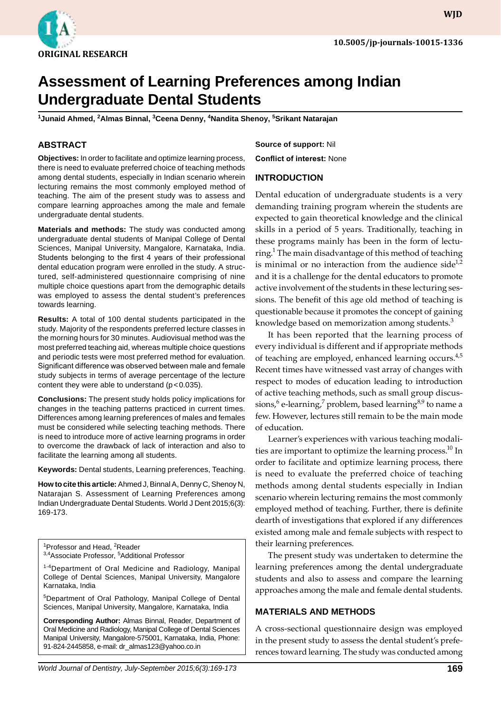

**WJD**

# **Assessment of Learning Preferences among Indian Undergraduate Dental Students**

<sup>1</sup>Junaid Ahmed, <sup>2</sup>Almas Binnal, <sup>3</sup>Ceena Denny, <sup>4</sup>Nandita Shenoy, <sup>5</sup>Srikant Natarajan

### **ABSTRACT**

**Objectives:** In order to facilitate and optimize learning process, there is need to evaluate preferred choice of teaching methods among dental students, especially in Indian scenario wherein lecturing remains the most commonly employed method of teaching. The aim of the present study was to assess and compare learning approaches among the male and female undergraduate dental students.

**Materials and methods:** The study was conducted among undergraduate dental students of Manipal College of Dental Sciences, Manipal University, Mangalore, Karnataka, India. Students belonging to the first 4 years of their professional dental education program were enrolled in the study. A structured, self-administered questionnaire comprising of nine multiple choice questions apart from the demographic details was employed to assess the dental student's preferences towards learning.

**Results:** A total of 100 dental students participated in the study. Majority of the respondents preferred lecture classes in the morning hours for 30 minutes. Audiovisual method was the most preferred teaching aid, whereas multiple choice questions and periodic tests were most preferred method for evaluation. Significant difference was observed between male and female study subjects in terms of average percentage of the lecture content they were able to understand  $(p < 0.035)$ .

**Conclusions:** The present study holds policy implications for changes in the teaching patterns practiced in current times. Differences among learning preferences of males and females must be considered while selecting teaching methods. There is need to introduce more of active learning programs in order to overcome the drawback of lack of interaction and also to facilitate the learning among all students.

**Keywords:** Dental students, Learning preferences, Teaching.

**How to cite this article:** Ahmed J, Binnal A, Denny C, Shenoy N, Natarajan S. Assessment of Learning Preferences among Indian Undergraduate Dental Students. World J Dent 2015;6(3): 169-173.

<sup>1</sup>Professor and Head, <sup>2</sup>Reader

<sup>3,4</sup>Associate Professor, <sup>5</sup>Additional Professor

<sup>1-4</sup>Department of Oral Medicine and Radiology, Manipal College of Dental Sciences, Manipal University, Mangalore Karnataka, India

5Department of Oral Pathology, Manipal College of Dental Sciences, Manipal University, Mangalore, Karnataka, India

**Corresponding Author:** Almas Binnal, Reader, Department of Oral Medicine and Radiology, Manipal College of Dental Sciences Manipal University, Mangalore-575001, Karnataka, India, Phone: 91-824-2445858, e-mail: dr\_almas123@yahoo.co.in

**Source of support:** Nil **Conflict of interest:** None

#### **Introduction**

Dental education of undergraduate students is a very demanding training program wherein the students are expected to gain theoretical knowledge and the clinical skills in a period of 5 years. Traditionally, teaching in these programs mainly has been in the form of lecturing.<sup>1</sup> The main disadvantage of this method of teaching is minimal or no interaction from the audience side $1/2$ and it is a challenge for the dental educators to promote active involvement of the students in these lecturing sessions. The benefit of this age old method of teaching is questionable because it promotes the concept of gaining knowledge based on memorization among students.<sup>3</sup>

It has been reported that the learning process of every individual is different and if appropriate methods of teaching are employed, enhanced learning occurs.<sup>4,5</sup> Recent times have witnessed vast array of changes with respect to modes of education leading to introduction of active teaching methods, such as small group discussions, $^6$  e-learning, $^7$  problem, based learning $^{8,9}$  to name a few. However, lectures still remain to be the main mode of education.

Learner's experiences with various teaching modalities are important to optimize the learning process.<sup>10</sup> In order to facilitate and optimize learning process, there is need to evaluate the preferred choice of teaching methods among dental students especially in Indian scenario wherein lecturing remains the most commonly employed method of teaching. Further, there is definite dearth of investigations that explored if any differences existed among male and female subjects with respect to their learning preferences.

The present study was undertaken to determine the learning preferences among the dental undergraduate students and also to assess and compare the learning approaches among the male and female dental students.

## **MATERIALS AND METHODS**

A cross-sectional questionnaire design was employed in the present study to assess the dental student's preferences toward learning. The study was conducted among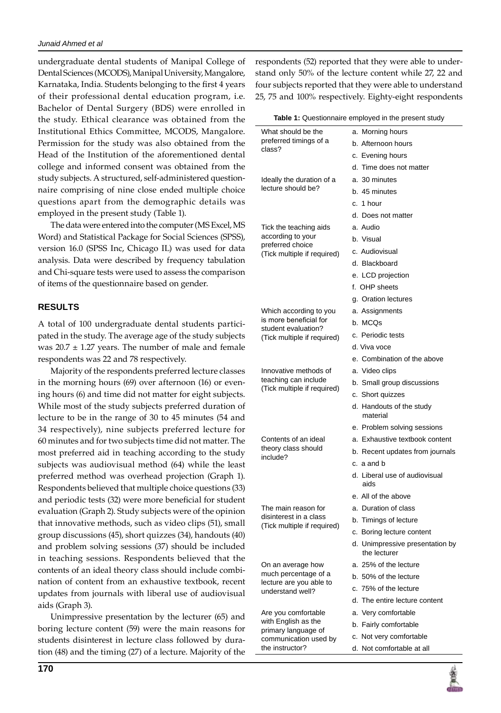undergraduate dental students of Manipal College of Dental Sciences (MCODS), Manipal University, Mangalore, Karnataka, India. Students belonging to the first 4 years of their professional dental education program, i.e. Bachelor of Dental Surgery (BDS) were enrolled in the study. Ethical clearance was obtained from the Institutional Ethics Committee, MCODS, Mangalore. Permission for the study was also obtained from the Head of the Institution of the aforementioned dental college and informed consent was obtained from the study subjects. A structured, self-administered questionnaire comprising of nine close ended multiple choice questions apart from the demographic details was employed in the present study (Table 1).

The data were entered into the computer (MS Excel, MS Word) and Statistical Package for Social Sciences (SPSS), version 16.0 (SPSS Inc, Chicago IL) was used for data analysis. Data were described by frequency tabulation and Chi-square tests were used to assess the comparison of items of the questionnaire based on gender.

# **RESULTS**

A total of 100 undergraduate dental students participated in the study. The average age of the study subjects was  $20.7 \pm 1.27$  years. The number of male and female respondents was 22 and 78 respectively.

Majority of the respondents preferred lecture classes in the morning hours (69) over afternoon (16) or evening hours (6) and time did not matter for eight subjects. While most of the study subjects preferred duration of lecture to be in the range of 30 to 45 minutes (54 and 34 respectively), nine subjects preferred lecture for 60 minutes and for two subjects time did not matter. The most preferred aid in teaching according to the study subjects was audiovisual method (64) while the least preferred method was overhead projection (Graph 1). Respondents believed that multiple choice questions (33) and periodic tests (32) were more beneficial for student evaluation (Graph 2). Study subjects were of the opinion that innovative methods, such as video clips (51), small group discussions (45), short quizzes (34), handouts (40) and problem solving sessions (37) should be included in teaching sessions. Respondents believed that the contents of an ideal theory class should include combination of content from an exhaustive textbook, recent updates from journals with liberal use of audiovisual aids (Graph 3).

Unimpressive presentation by the lecturer (65) and boring lecture content (59) were the main reasons for students disinterest in lecture class followed by duration (48) and the timing (27) of a lecture. Majority of the respondents (52) reported that they were able to understand only 50% of the lecture content while 27, 22 and four subjects reported that they were able to understand 25, 75 and 100% respectively. Eighty-eight respondents

| What should be the                                                                                     | a. Morning hours                                |  |
|--------------------------------------------------------------------------------------------------------|-------------------------------------------------|--|
| preferred timings of a<br>class?                                                                       | b. Afternoon hours                              |  |
|                                                                                                        | c. Evening hours                                |  |
|                                                                                                        | d. Time does not matter                         |  |
| Ideally the duration of a<br>lecture should be?                                                        | a. 30 minutes                                   |  |
|                                                                                                        | b. 45 minutes                                   |  |
|                                                                                                        | c. 1 hour                                       |  |
|                                                                                                        | d. Does not matter                              |  |
| Tick the teaching aids<br>according to your<br>preferred choice<br>(Tick multiple if required)         | a. Audio                                        |  |
|                                                                                                        | b. Visual                                       |  |
|                                                                                                        | c. Audiovisual                                  |  |
|                                                                                                        | d. Blackboard                                   |  |
|                                                                                                        | e. LCD projection                               |  |
|                                                                                                        | f. OHP sheets                                   |  |
|                                                                                                        | g. Oration lectures                             |  |
| Which according to you<br>is more beneficial for<br>student evaluation?<br>(Tick multiple if required) | a. Assignments                                  |  |
|                                                                                                        | b. MCQs                                         |  |
|                                                                                                        | c. Periodic tests                               |  |
|                                                                                                        | d. Viva voce                                    |  |
|                                                                                                        | e. Combination of the above                     |  |
| Innovative methods of<br>teaching can include<br>(Tick multiple if required)                           | a. Video clips                                  |  |
|                                                                                                        | b. Small group discussions                      |  |
|                                                                                                        | c. Short quizzes                                |  |
|                                                                                                        | d. Handouts of the study<br>material            |  |
|                                                                                                        | e. Problem solving sessions                     |  |
| Contents of an ideal                                                                                   | a. Exhaustive textbook content                  |  |
| theory class should                                                                                    | b. Recent updates from journals                 |  |
| include?                                                                                               | c. a and b                                      |  |
|                                                                                                        | d. Liberal use of audiovisual<br>aids           |  |
|                                                                                                        | e. All of the above                             |  |
| The main reason for                                                                                    | a. Duration of class                            |  |
| disinterest in a class<br>(Tick multiple if required)                                                  | b. Timings of lecture                           |  |
|                                                                                                        | c. Boring lecture content                       |  |
|                                                                                                        | d. Unimpressive presentation by<br>the lecturer |  |
| On an average how<br>much percentage of a<br>lecture are you able to<br>understand well?               | a. 25% of the lecture                           |  |
|                                                                                                        | b. 50% of the lecture                           |  |
|                                                                                                        | c. 75% of the lecture                           |  |
|                                                                                                        | d. The entire lecture content                   |  |
| Are you comfortable                                                                                    | a. Very comfortable                             |  |
| with English as the<br>primary language of<br>communication used by<br>the instructor?                 | b. Fairly comfortable                           |  |
|                                                                                                        | c. Not very comfortable                         |  |
|                                                                                                        | d. Not comfortable at all                       |  |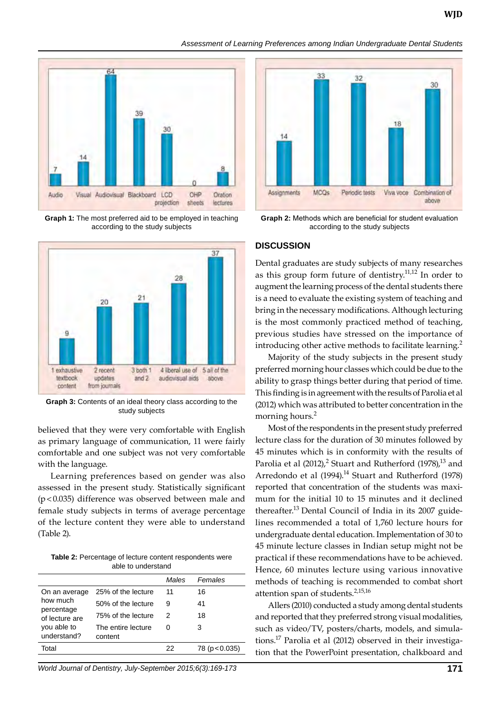#### *Assessment of Learning Preferences among Indian Undergraduate Dental Students*



**Graph 1:** The most preferred aid to be employed in teaching according to the study subjects



**Graph 3:** Contents of an ideal theory class according to the study subjects

believed that they were very comfortable with English as primary language of communication, 11 were fairly comfortable and one subject was not very comfortable with the language.

Learning preferences based on gender was also assessed in the present study. Statistically significant (p<0.035) difference was observed between male and female study subjects in terms of average percentage of the lecture content they were able to understand (Table 2).

**Table 2:** Percentage of lecture content respondents were able to understand

|                                                                                         |                               | Males | Females     |
|-----------------------------------------------------------------------------------------|-------------------------------|-------|-------------|
| On an average<br>how much<br>percentage<br>of lecture are<br>you able to<br>understand? | 25% of the lecture            | 11    | 16          |
|                                                                                         | 50% of the lecture            | 9     | 41          |
|                                                                                         | 75% of the lecture            | 2     | 18          |
|                                                                                         | The entire lecture<br>content | O     | З           |
| Total                                                                                   |                               | 22    | 78(p<0.035) |
|                                                                                         |                               |       |             |

*World Journal of Dentistry, July-September 2015;6(3):169-173* **171**



**Graph 2:** Methods which are beneficial for student evaluation according to the study subjects

#### **DISCUSSION**

Dental graduates are study subjects of many researches as this group form future of dentistry.<sup>11,12</sup> In order to augment the learning process of the dental students there is a need to evaluate the existing system of teaching and bring in the necessary modifications. Although lecturing is the most commonly practiced method of teaching, previous studies have stressed on the importance of introducing other active methods to facilitate learning.<sup>2</sup>

Majority of the study subjects in the present study preferred morning hour classes which could be due to the ability to grasp things better during that period of time. This finding is in agreement with the results of Parolia et al (2012) which was attributed to better concentration in the morning hours.<sup>2</sup>

Most of the respondents in the present study preferred lecture class for the duration of 30 minutes followed by 45 minutes which is in conformity with the results of Parolia et al (2012), $^2$  Stuart and Rutherford (1978), $^{13}$  and Arredondo et al (1994).<sup>14</sup> Stuart and Rutherford (1978) reported that concentration of the students was maximum for the initial 10 to 15 minutes and it declined thereafter.<sup>13</sup> Dental Council of India in its 2007 guidelines recommended a total of 1,760 lecture hours for undergraduate dental education. Implementation of 30 to 45 minute lecture classes in Indian setup might not be practical if these recommendations have to be achieved. Hence, 60 minutes lecture using various innovative methods of teaching is recommended to combat short attention span of students.<sup>2,15,16</sup>

Allers (2010) conducted a study among dental students and reported that they preferred strong visual modalities, such as video/TV, posters/charts, models, and simulations.17 Parolia et al (2012) observed in their investigation that the PowerPoint presentation, chalkboard and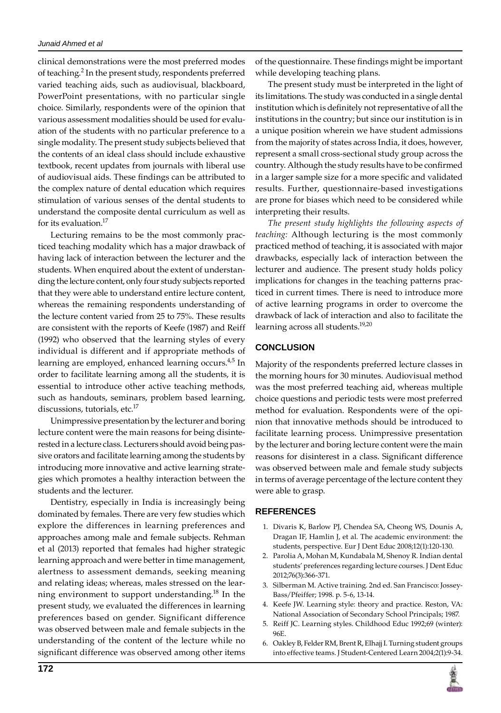clinical demonstrations were the most preferred modes of teaching.<sup>2</sup> In the present study, respondents preferred varied teaching aids, such as audiovisual, blackboard, PowerPoint presentations, with no particular single choice. Similarly, respondents were of the opinion that various assessment modalities should be used for evaluation of the students with no particular preference to a single modality. The present study subjects believed that the contents of an ideal class should include exhaustive textbook, recent updates from journals with liberal use of audiovisual aids. These findings can be attributed to the complex nature of dental education which requires stimulation of various senses of the dental students to understand the composite dental curriculum as well as for its evaluation.<sup>17</sup>

Lecturing remains to be the most commonly practiced teaching modality which has a major drawback of having lack of interaction between the lecturer and the students. When enquired about the extent of understanding the lecture content, only four study subjects reported that they were able to understand entire lecture content, whereas the remaining respondents understanding of the lecture content varied from 25 to 75%. These results are consistent with the reports of Keefe (1987) and Reiff (1992) who observed that the learning styles of every individual is different and if appropriate methods of learning are employed, enhanced learning occurs.<sup>4,5</sup> In order to facilitate learning among all the students, it is essential to introduce other active teaching methods, such as handouts, seminars, problem based learning, discussions, tutorials, etc.<sup>17</sup>

Unimpressive presentation by the lecturer and boring lecture content were the main reasons for being disinterested in a lecture class. Lecturers should avoid being passive orators and facilitate learning among the students by introducing more innovative and active learning strategies which promotes a healthy interaction between the students and the lecturer.

Dentistry, especially in India is increasingly being dominated by females. There are very few studies which explore the differences in learning preferences and approaches among male and female subjects. Rehman et al (2013) reported that females had higher strategic learning approach and were better in time management, alertness to assessment demands, seeking meaning and relating ideas; whereas, males stressed on the learning environment to support understanding.<sup>18</sup> In the present study, we evaluated the differences in learning preferences based on gender. Significant difference was observed between male and female subjects in the understanding of the content of the lecture while no significant difference was observed among other items

of the questionnaire. These findings might be important while developing teaching plans.

The present study must be interpreted in the light of its limitations. The study was conducted in a single dental institution which is definitely not representative of all the institutions in the country; but since our institution is in a unique position wherein we have student admissions from the majority of states across India, it does, however, represent a small cross-sectional study group across the country. Although the study results have to be confirmed in a larger sample size for a more specific and validated results. Further, questionnaire-based investigations are prone for biases which need to be considered while interpreting their results.

*The present study highlights the following aspects of teaching:* Although lecturing is the most commonly practiced method of teaching, it is associated with major drawbacks, especially lack of interaction between the lecturer and audience. The present study holds policy implications for changes in the teaching patterns practiced in current times. There is need to introduce more of active learning programs in order to overcome the drawback of lack of interaction and also to facilitate the learning across all students.<sup>19,20</sup>

# **conclusion**

majority of the respondents preferred lecture classes in the morning hours for 30 minutes. Audiovisual method was the most preferred teaching aid, whereas multiple choice questions and periodic tests were most preferred method for evaluation. Respondents were of the opinion that innovative methods should be introduced to facilitate learning process. Unimpressive presentation by the lecturer and boring lecture content were the main reasons for disinterest in a class. Significant difference was observed between male and female study subjects in terms of average percentage of the lecture content they were able to grasp.

# **REFERENCES**

- 1. Divaris K, Barlow PJ, Chendea SA, Cheong WS, Dounis A, Dragan IF, Hamlin J, et al. The academic environment: the students, perspective. Eur J Dent Educ 2008;12(1):120-130.
- 2. Parolia A, Mohan M, Kundabala M, Shenoy R. Indian dental students' preferences regarding lecture courses. J Dent Educ 2012;76(3):366-371.
- 3. Silberman M. Active training. 2nd ed. San Francisco: Jossey-Bass/Pfeiffer; 1998. p. 5-6, 13-14.
- 4. Keefe JW. Learning style: theory and practice. Reston, VA: National Association of Secondary School Principals; 1987.
- 5. Reiff JC. Learning styles. Childhood Educ 1992;69 (winter): 96E.
- 6. Oakley B, Felder RM, Brent R, Elhajj I. Turning student groups into effective teams. J Student-Centered Learn 2004;2(1):9-34.